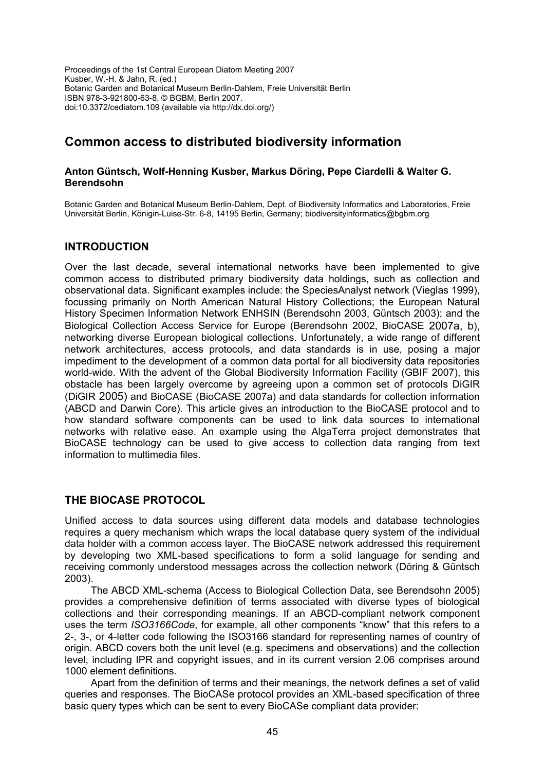Proceedings of the 1st Central European Diatom Meeting 2007 Kusber, W.-H. & Jahn, R. (ed.) Botanic Garden and Botanical Museum Berlin-Dahlem, Freie Universität Berlin ISBN 978-3-921800-63-8, © BGBM, Berlin 2007. doi:10.3372/cediatom.109 (available via http://dx.doi.org/)

# **Common access to distributed biodiversity information**

#### **Anton Güntsch, Wolf-Henning Kusber, Markus Döring, Pepe Ciardelli & Walter G. Berendsohn**

Botanic Garden and Botanical Museum Berlin-Dahlem, Dept. of Biodiversity Informatics and Laboratories, Freie Universität Berlin, Königin-Luise-Str. 6-8, 14195 Berlin, Germany; biodiversityinformatics@bgbm.org

## **INTRODUCTION**

Over the last decade, several international networks have been implemented to give common access to distributed primary biodiversity data holdings, such as collection and observational data. Significant examples include: the SpeciesAnalyst network (Vieglas 1999), focussing primarily on North American Natural History Collections; the European Natural History Specimen Information Network ENHSIN (Berendsohn 2003, Güntsch 2003); and the Biological Collection Access Service for Europe (Berendsohn 2002, BioCASE 2007a, b), networking diverse European biological collections. Unfortunately, a wide range of different network architectures, access protocols, and data standards is in use, posing a major impediment to the development of a common data portal for all biodiversity data repositories world-wide. With the advent of the Global Biodiversity Information Facility (GBIF 2007), this obstacle has been largely overcome by agreeing upon a common set of protocols DiGIR (DiGIR 2005) and BioCASE (BioCASE 2007a) and data standards for collection information (ABCD and Darwin Core). This article gives an introduction to the BioCASE protocol and to how standard software components can be used to link data sources to international networks with relative ease. An example using the AlgaTerra project demonstrates that BioCASE technology can be used to give access to collection data ranging from text information to multimedia files.

## **THE BIOCASE PROTOCOL**

Unified access to data sources using different data models and database technologies requires a query mechanism which wraps the local database query system of the individual data holder with a common access layer. The BioCASE network addressed this requirement by developing two XML-based specifications to form a solid language for sending and receiving commonly understood messages across the collection network (Döring & Güntsch 2003).

The ABCD XML-schema (Access to Biological Collection Data, see Berendsohn 2005) provides a comprehensive definition of terms associated with diverse types of biological collections and their corresponding meanings. If an ABCD-compliant network component uses the term *ISO3166Code*, for example, all other components "know" that this refers to a 2-, 3-, or 4-letter code following the ISO3166 standard for representing names of country of origin. ABCD covers both the unit level (e.g. specimens and observations) and the collection level, including IPR and copyright issues, and in its current version 2.06 comprises around 1000 element definitions.

Apart from the definition of terms and their meanings, the network defines a set of valid queries and responses. The BioCASe protocol provides an XML-based specification of three basic query types which can be sent to every BioCASe compliant data provider: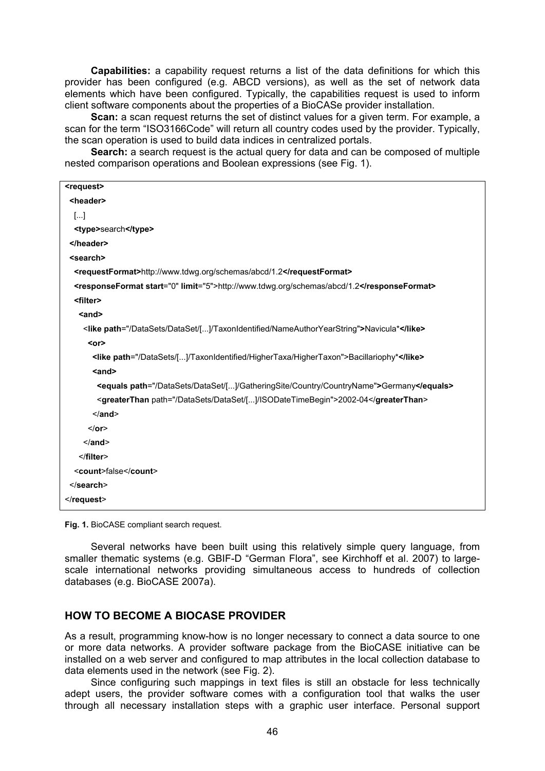**Capabilities:** a capability request returns a list of the data definitions for which this provider has been configured (e.g. ABCD versions), as well as the set of network data elements which have been configured. Typically, the capabilities request is used to inform client software components about the properties of a BioCASe provider installation.

**Scan:** a scan request returns the set of distinct values for a given term. For example, a scan for the term "ISO3166Code" will return all country codes used by the provider. Typically, the scan operation is used to build data indices in centralized portals.

**Search:** a search request is the actual query for data and can be composed of multiple nested comparison operations and Boolean expressions (see Fig. 1).

| <request></request>                                                                       |
|-------------------------------------------------------------------------------------------|
| <header></header>                                                                         |
| $[]$                                                                                      |
| <type>search</type>                                                                       |
|                                                                                           |
| <search></search>                                                                         |
| <requestformat>http://www.tdwg.org/schemas/abcd/1.2</requestformat>                       |
| <responseformat limit="5" start="0">http://www.tdwg.org/schemas/abcd/1.2</responseformat> |
| <filter></filter>                                                                         |
| $and$                                                                                     |
| <like path="/DataSets/DataSet/[]/TaxonIdentified/NameAuthorYearString">Navicula*</like>   |
| $<$ or $>$                                                                                |
| <like path="/DataSets/[]/TaxonIdentified/HigherTaxa/HigherTaxon">Bacillariophy*</like>    |
| $and$                                                                                     |
| <equals path="/DataSets/DataSet/[]/GatheringSite/Country/CountryName">Germany</equals>    |
| <greaterthan path="/DataSets/DataSet/[]/ISODateTimeBegin">2002-04</greaterthan>           |
| $\leq$ /and>                                                                              |
| $or>$                                                                                     |
| $\alpha$ /and>                                                                            |
|                                                                                           |
| <count>false</count>                                                                      |
|                                                                                           |
| $\le$ /request>                                                                           |
|                                                                                           |

**Fig. 1.** BioCASE compliant search request.

Several networks have been built using this relatively simple query language, from smaller thematic systems (e.g. GBIF-D "German Flora", see Kirchhoff et al. 2007) to largescale international networks providing simultaneous access to hundreds of collection databases (e.g. BioCASE 2007a).

#### **HOW TO BECOME A BIOCASE PROVIDER**

As a result, programming know-how is no longer necessary to connect a data source to one or more data networks. A provider software package from the BioCASE initiative can be installed on a web server and configured to map attributes in the local collection database to data elements used in the network (see Fig. 2).

Since configuring such mappings in text files is still an obstacle for less technically adept users, the provider software comes with a configuration tool that walks the user through all necessary installation steps with a graphic user interface. Personal support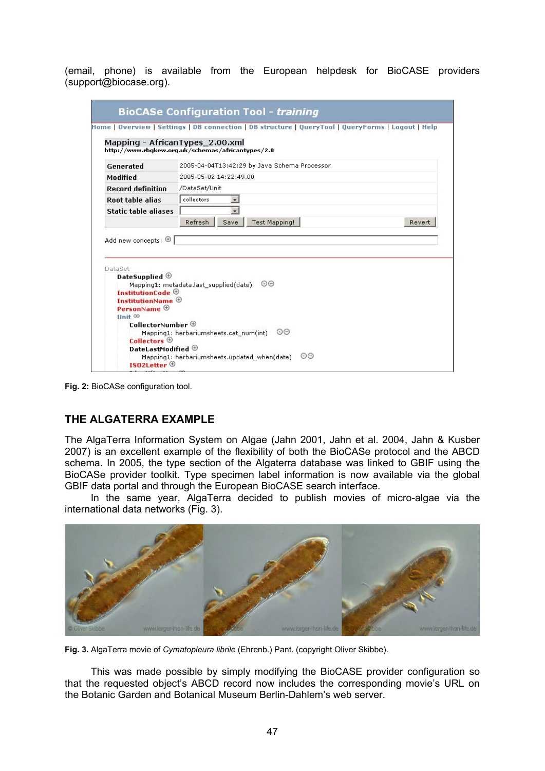(email, phone) is available from the European helpdesk for BioCASE providers (support@biocase.org).

|                                 | <b>BioCASe Configuration Tool - training</b>                                                       |
|---------------------------------|----------------------------------------------------------------------------------------------------|
|                                 |                                                                                                    |
|                                 | Home   Overview   Settings   DB connection   DB structure   QueryTool   QueryForms   Logout   Help |
| Mapping - AfricanTypes_2.00.xml |                                                                                                    |
|                                 | http://www.rbgkew.org.uk/schemas/africantypes/2.0                                                  |
| Generated                       | 2005-04-04T13:42:29 by Java Schema Processor                                                       |
| Modified                        | 2005-05-02 14:22:49.00                                                                             |
| <b>Record definition</b>        | /DataSet/Unit                                                                                      |
| <b>Root table alias</b>         | collectors                                                                                         |
| <b>Static table aliases</b>     |                                                                                                    |
|                                 | Refresh<br><b>Test Mapping!</b><br>Save<br>Revert                                                  |
| DataSet                         |                                                                                                    |
| DateSupplied $\oplus$           |                                                                                                    |
| InstitutionCode $\oplus$        | $\odot$ $\odot$<br>Mapping1: metadata.last_supplied(date)                                          |
| InstitutionName $\oplus$        |                                                                                                    |
| PersonName $\oplus$<br>Unit 00  |                                                                                                    |
| CollectorNumber $\oplus$        |                                                                                                    |
| Collectors $\oplus$             | Mapping1: herbariumsheets.cat_num(int) ©©                                                          |
| DateLastModified $\oplus$       |                                                                                                    |
| ISO2Letter $\Theta$             | 00<br>Mapping1: herbariumsheets.updated when(date)                                                 |

**Fig. 2:** BioCASe configuration tool.

## **THE ALGATERRA EXAMPLE**

The AlgaTerra Information System on Algae (Jahn 2001, Jahn et al. 2004, Jahn & Kusber 2007) is an excellent example of the flexibility of both the BioCASe protocol and the ABCD schema. In 2005, the type section of the Algaterra database was linked to GBIF using the BioCASe provider toolkit. Type specimen label information is now available via the global GBIF data portal and through the European BioCASE search interface.

In the same year, AlgaTerra decided to publish movies of micro-algae via the international data networks (Fig. 3).



**Fig. 3.** AlgaTerra movie of *Cymatopleura librile* (Ehrenb.) Pant. (copyright Oliver Skibbe).

This was made possible by simply modifying the BioCASE provider configuration so that the requested object's ABCD record now includes the corresponding movie's URL on the Botanic Garden and Botanical Museum Berlin-Dahlem's web server.